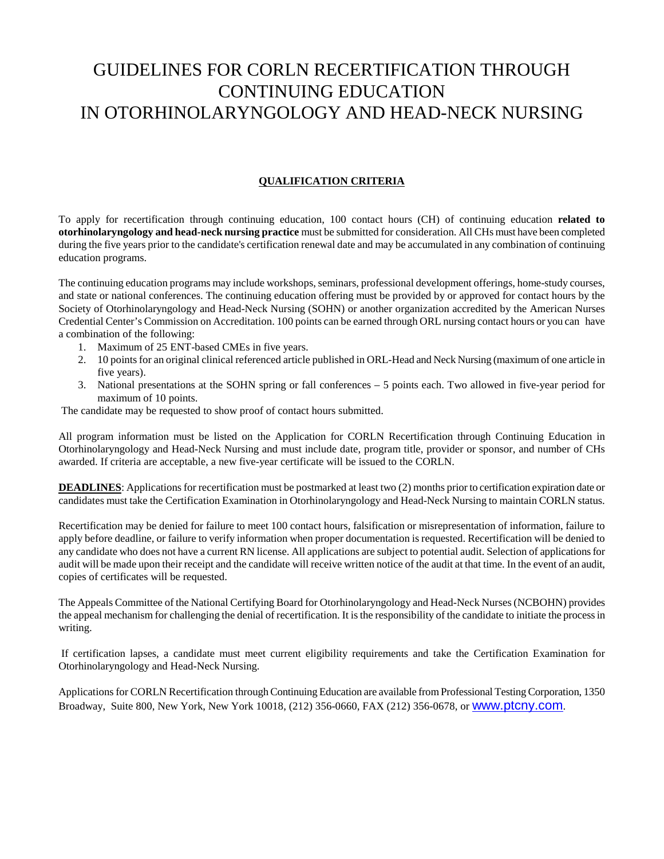# GUIDELINES FOR CORLN RECERTIFICATION THROUGH CONTINUING EDUCATION IN OTORHINOLARYNGOLOGY AND HEAD-NECK NURSING

## **QUALIFICATION CRITERIA**

To apply for recertification through continuing education, 100 contact hours (CH) of continuing education **related to otorhinolaryngology and head-neck nursing practice** must be submitted for consideration. All CHs must have been completed during the five years prior to the candidate's certification renewal date and may be accumulated in any combination of continuing education programs.

The continuing education programs may include workshops, seminars, professional development offerings, home-study courses, and state or national conferences. The continuing education offering must be provided by or approved for contact hours by the Society of Otorhinolaryngology and Head-Neck Nursing (SOHN) or another organization accredited by the American Nurses Credential Center's Commission on Accreditation. 100 points can be earned through ORL nursing contact hours or you can have a combination of the following:

- 1. Maximum of 25 ENT-based CMEs in five years.
- 2. 10 points for an original clinical referenced article published in ORL-Head and Neck Nursing (maximum of one article in five years).
- 3. National presentations at the SOHN spring or fall conferences 5 points each. Two allowed in five-year period for maximum of 10 points.

The candidate may be requested to show proof of contact hours submitted.

All program information must be listed on the Application for CORLN Recertification through Continuing Education in Otorhinolaryngology and Head-Neck Nursing and must include date, program title, provider or sponsor, and number of CHs awarded. If criteria are acceptable, a new five-year certificate will be issued to the CORLN.

**DEADLINES**: Applications for recertification must be postmarked at least two (2) months prior to certification expiration date or candidates must take the Certification Examination in Otorhinolaryngology and Head-Neck Nursing to maintain CORLN status.

Recertification may be denied for failure to meet 100 contact hours, falsification or misrepresentation of information, failure to apply before deadline, or failure to verify information when proper documentation is requested. Recertification will be denied to any candidate who does not have a current RN license. All applications are subject to potential audit. Selection of applications for audit will be made upon their receipt and the candidate will receive written notice of the audit at that time. In the event of an audit, copies of certificates will be requested.

The Appeals Committee of the National Certifying Board for Otorhinolaryngology and Head-Neck Nurses (NCBOHN) provides the appeal mechanism for challenging the denial of recertification. It is the responsibility of the candidate to initiate the process in writing.

 If certification lapses, a candidate must meet current eligibility requirements and take the Certification Examination for Otorhinolaryngology and Head-Neck Nursing.

Applications for CORLN Recertification through Continuing Education are available from Professional Testing Corporation, 1350 Broadway, Suite 800, New York, New York 10018, (212) 356-0660, FAX (212) 356-0678, or www.ptcny.com.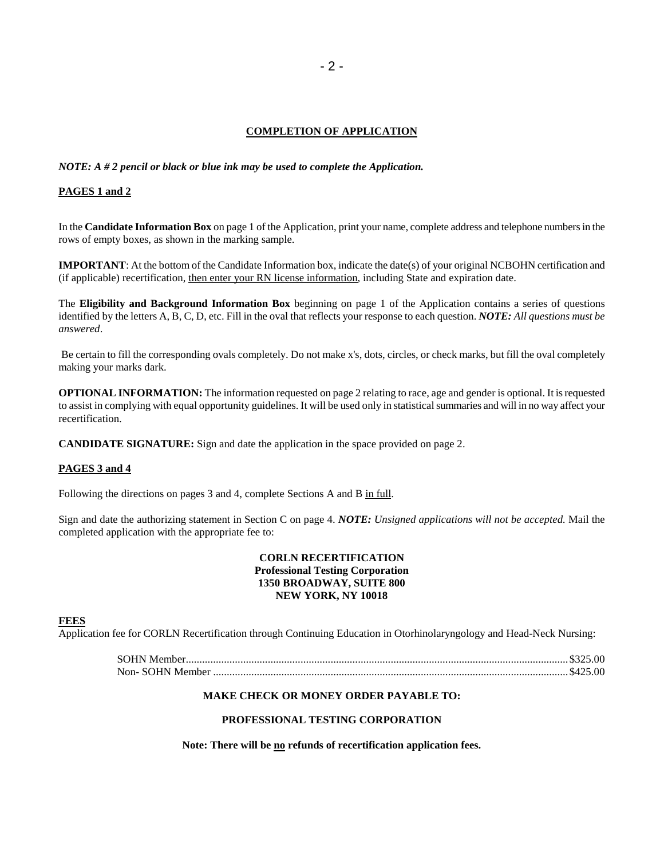### **COMPLETION OF APPLICATION**

*NOTE: A # 2 pencil or black or blue ink may be used to complete the Application.*

### **PAGES 1 and 2**

In the **Candidate Information Box** on page 1 of the Application, print your name, complete address and telephone numbers in the rows of empty boxes, as shown in the marking sample.

**IMPORTANT**: At the bottom of the Candidate Information box, indicate the date(s) of your original NCBOHN certification and (if applicable) recertification, then enter your RN license information, including State and expiration date.

The **Eligibility and Background Information Box** beginning on page 1 of the Application contains a series of questions identified by the letters A, B, C, D, etc. Fill in the oval that reflects your response to each question. *NOTE: All questions must be answered*.

 Be certain to fill the corresponding ovals completely. Do not make x's, dots, circles, or check marks, but fill the oval completely making your marks dark.

**OPTIONAL INFORMATION:** The information requested on page 2 relating to race, age and gender is optional. It is requested to assist in complying with equal opportunity guidelines. It will be used only in statistical summaries and will in no way affect your recertification.

**CANDIDATE SIGNATURE:** Sign and date the application in the space provided on page 2.

### **PAGES 3 and 4**

Following the directions on pages 3 and 4, complete Sections A and B in full.

Sign and date the authorizing statement in Section C on page 4. *NOTE: Unsigned applications will not be accepted.* Mail the completed application with the appropriate fee to:

### **CORLN RECERTIFICATION Professional Testing Corporation 1350 BROADWAY, SUITE 800 NEW YORK, NY 10018**

### **FEES**

Application fee for CORLN Recertification through Continuing Education in Otorhinolaryngology and Head-Neck Nursing:

### **MAKE CHECK OR MONEY ORDER PAYABLE TO:**

### **PROFESSIONAL TESTING CORPORATION**

Note: There will be **no** refunds of recertification application fees.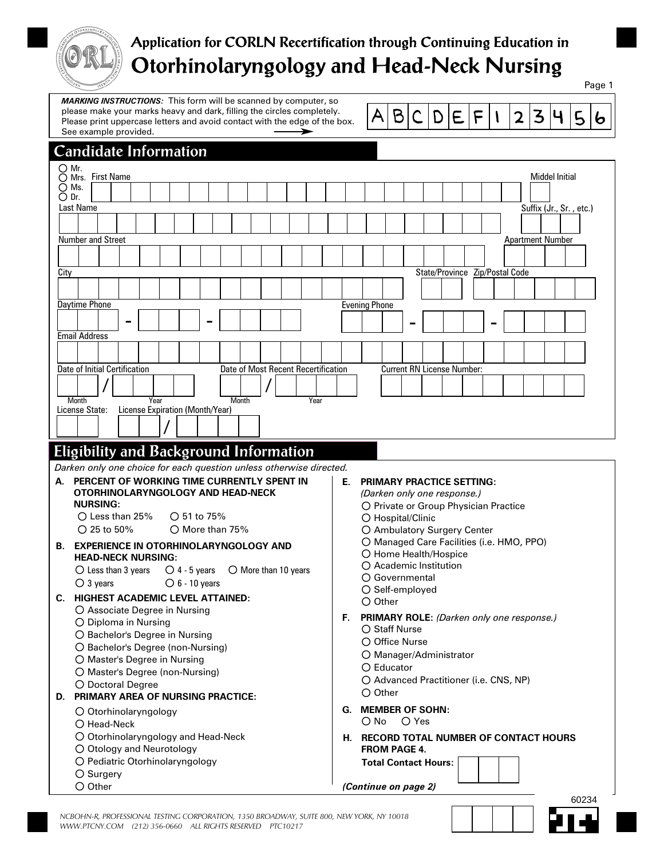

# **Application for CORLN Recertification through Continuing Education in Otorhinolaryngology and Head-Neck Nursing**

*MARKING INSTRUCTIONS:* This form will be scanned by computer, so please make your marks heavy and dark, filling the circles completely. Please print uppercase letters and avoid contact with the edge of the box. See example provided. ➤



Page 1

## Number and Street Apartment Number and Street Apartment Number and Street Apartment Number and Street Apartment Number City State/Province Zip/Postal Code Daytime Phone - <u>| | | |</u> |-**Candidate Information** Evening Phone - <u>| | | |</u> |-Current RN License Number: Month<br>License State: License Exp Date of Initial Certification Month Year Date of Most Recent Recertification **/ /** Email Address License Expiration (Month/Year) **/** First Name Middel Initial Last Name Suffix (Jr., Sr., etc.)  $\bigcirc$  Mr.  $\bigcirc$  Mrs. First Name  $\sum$  Ms.  $\bigcirc$  Dr.

# **Eligibility and Background Information**

*Darken only one choice for each question unless otherwise directed.*

#### **A. PERCENT OF WORKING TIME CURRENTLY SPENT IN OTORHINOLARYNGOLOGY AND HEAD-NECK NURSING: B. EXPERIENCE IN OTORHINOLARYNGOLOGY AND HEAD-NECK NURSING:**  $\bigcirc$  Less than 25% 25 to 50%  $\bigcap$  51 to 75% More than 75% **H. RECORD TOTAL NUMBER OF CONTACT HOURS FROM PAGE 4. C. HIGHEST ACADEMIC LEVEL ATTAINED:** Associate Degree in Nursing Diploma in Nursing O Bachelor's Degree in Nursing O Bachelor's Degree (non-Nursing) O Master's Degree in Nursing O Master's Degree (non-Nursing) O Doctoral Degree O Otorhinolaryngology  $\bigcirc$  Head-Neck O Otorhinolaryngology and Head-Neck O Otology and Neurotology O Pediatric Otorhinolaryngology **D. PRIMARY AREA OF NURSING PRACTICE:** O Private or Group Physician Practice O Hospital/Clinic Ambulatory Surgery Center Managed Care Facilities (i.e. HMO, PPO) O Home Health/Hospice Academic Institution Governmental O Self-employed O Other **PRIMARY PRACTICE SETTING: E.** *(Darken only one response.)* **F. PRIMARY ROLE:** *(Darken only one response.)* O Staff Nurse  $\bigcirc$  Office Nurse Manager/Administrator Educator O Advanced Practitioner (i.e. CNS, NP) O Other **G. MEMBER OF SOHN:** O No O Yes  $\bigcirc$  Less than 3 years  $\bigcirc$  3 years  $\bigcirc$  4 - 5 years  $\bigcirc$  6 - 10 years  $\bigcirc$  More than 10 years

**Total Contact Hours:**

*(Continue on page 2)*

O Surgery  $O$  Other



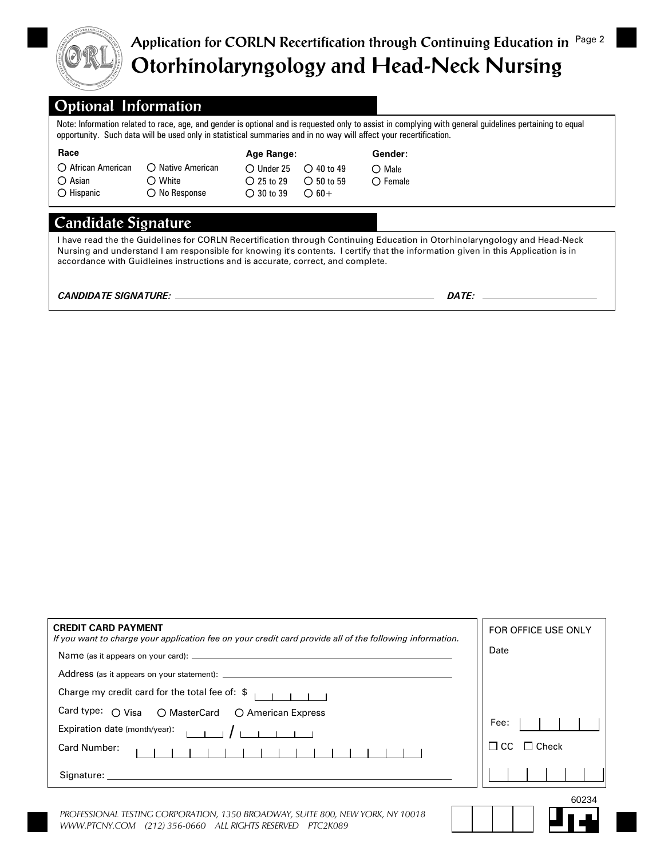

# **Application for CORLN Recertification through Continuing Education in** Page 2 **Otorhinolaryngology and Head-Neck Nursing**

# **Optional Information**

Note: Information related to race, age, and gender is optional and is requested only to assist in complying with general guidelines pertaining to equal opportunity. Such data will be used only in statistical summaries and in no way will affect your recertification.

| Race                                                              |                            | Age Range:          |                     | Gender:           |  |
|-------------------------------------------------------------------|----------------------------|---------------------|---------------------|-------------------|--|
| ○ African American                                                | $\bigcirc$ Native American | $\bigcirc$ Under 25 | $\bigcirc$ 40 to 49 | $\bigcirc$ Male   |  |
| $\bigcirc$ Asian                                                  | $\bigcirc$ White           | $\bigcirc$ 25 to 29 | $\bigcirc$ 50 to 59 | $\bigcirc$ Female |  |
| $\bigcirc$ Hispanic                                               | $\bigcirc$ No Response     | $\bigcirc$ 30 to 39 | $\bigcirc$ 60+      |                   |  |
| Candidate Signature                                               |                            |                     |                     |                   |  |
| <u>il idalo la comunicación de la conte de la decida de la de</u> |                            |                     |                     |                   |  |

I have read the the Guidelines for CORLN Recertification through Continuing Education in Otorhinolaryngology and Head-Neck Nursing and understand I am responsible for knowing it's contents. I certify that the information given in this Application is in accordance with Guidleines instructions and is accurate, correct, and complete.

*CANDIDATE SIGNATURE: DATE:*

| <b>CREDIT CARD PAYMENT</b><br>If you want to charge your application fee on your credit card provide all of the following information. | FOR OFFICE USE ONLY |
|----------------------------------------------------------------------------------------------------------------------------------------|---------------------|
| Name (as it appears on your card):                                                                                                     | Date                |
|                                                                                                                                        |                     |
| Charge my credit card for the total fee of: $\frac{2}{3}$ $\frac{1}{1}$                                                                |                     |
| Card type: O Visa O MasterCard O American Express                                                                                      |                     |
| Expiration date (month/year): $\begin{array}{ccc} 1 & 1 & 1 \\ 1 & 1 & 1 \end{array}$                                                  | Fee:                |
| Card Number:                                                                                                                           | Check               |
|                                                                                                                                        |                     |
|                                                                                                                                        | 0024                |

*PROFESSIONAL TESTING CORPORATION, 1350 BROADWAY, SUITE 800, NEW YORK, NY 10018 WWW.PTCNY.COM (212) 356-0660 ALL RIGHTS RESERVED PTC2K089*

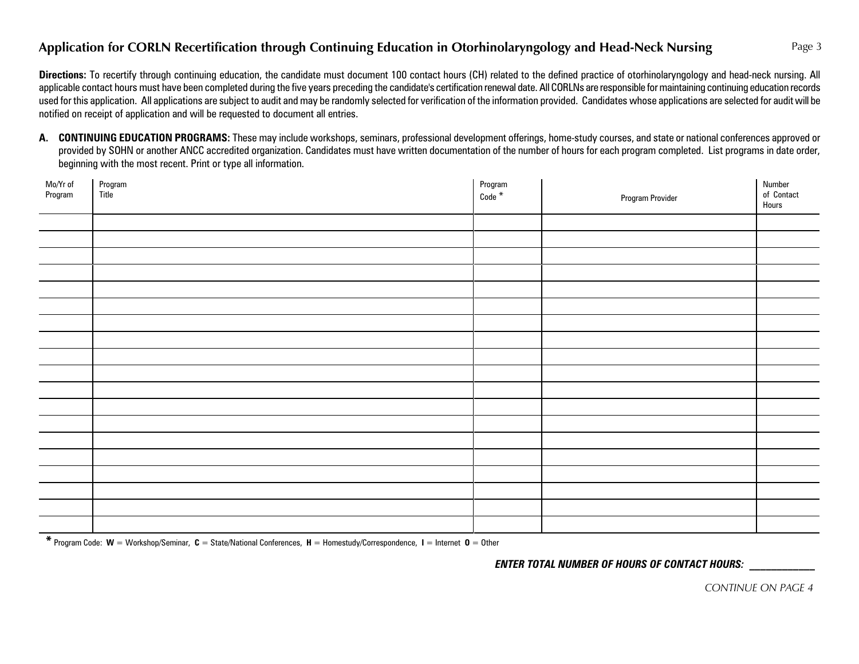# **Application for CORLN Recertification through Continuing Education in Otorhinolaryngology and Head-Neck Nursing**

Directions: To recertify through continuing education, the candidate must document 100 contact hours (CH) related to the defined practice of otorhinolaryngology and head-neck nursing. All applicable contact hours must have been completed during the five years preceding the candidate's certification renewal date. All CORLNs are responsible for maintaining continuing education records used for this application. All applications are subject to audit and may be randomly selected for verification of the information provided. Candidates whose applications are selected for audit will be notified on receipt of application and will be requested to document all entries.

A. CONTINUING EDUCATION PROGRAMS: These may include workshops, seminars, professional development offerings, home-study courses, and state or national conferences approved or provided by SOHN or another ANCC accredited organization. Candidates must have written documentation of the number of hours for each program completed. List programs in date order, beginning with the most recent. Print or type all information.

| Mo/Yr of<br>Program | Program<br>Title | Program<br>Code <sup>*</sup> | <b>Program Provider</b> | Number<br>of Contact<br>Hours |
|---------------------|------------------|------------------------------|-------------------------|-------------------------------|
|                     |                  |                              |                         |                               |
|                     |                  |                              |                         |                               |
|                     |                  |                              |                         |                               |
|                     |                  |                              |                         |                               |
|                     |                  |                              |                         |                               |
|                     |                  |                              |                         |                               |
|                     |                  |                              |                         |                               |
|                     |                  |                              |                         |                               |
|                     |                  |                              |                         |                               |
|                     |                  |                              |                         |                               |
|                     |                  |                              |                         |                               |
|                     |                  |                              |                         |                               |
|                     |                  |                              |                         |                               |
|                     |                  |                              |                         |                               |
|                     |                  |                              |                         |                               |
|                     |                  |                              |                         |                               |
|                     |                  |                              |                         |                               |
|                     |                  |                              |                         |                               |
|                     |                  |                              |                         |                               |

**\*** Program Code: **W** = Workshop/Seminar, **C** = State/National Conferences, **H** = Homestudy/Correspondence, **I** = Internet **O** = Other

*ENTER TOTAL NUMBER OF HOURS OF CONTACT HOURS: \_\_\_\_\_\_\_\_\_\_\_\_*

Page 3

*CONTINUE ON PAGE 4*